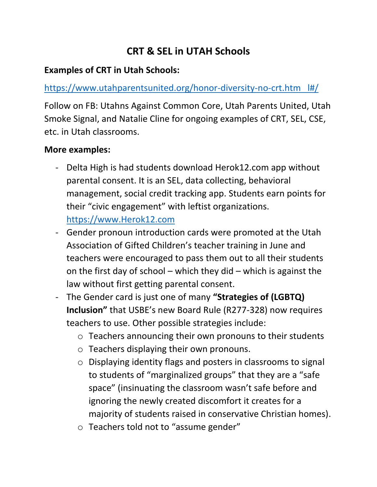# **CRT & SEL in UTAH Schools**

#### **Examples of CRT in Utah Schools:**

## [https://www.utahparentsunited.org/honor-diversity-no-crt.htm l#/](https://www.utahparentsunited.org/honor-diversity-no-crt.htm%20%20%20l#/)

Follow on FB: Utahns Against Common Core, Utah Parents United, Utah Smoke Signal, and Natalie Cline for ongoing examples of CRT, SEL, CSE, etc. in Utah classrooms.

#### **More examples:**

- Delta High is had students download Herok12.com app without parental consent. It is an SEL, data collecting, behavioral management, social credit tracking app. Students earn points for their "civic engagement" with leftist organizations. [https://www.Herok12.com](https://www.herok12.com/)
- Gender pronoun introduction cards were promoted at the Utah Association of Gifted Children's teacher training in June and teachers were encouraged to pass them out to all their students on the first day of school – which they did – which is against the law without first getting parental consent.
- The Gender card is just one of many **"Strategies of (LGBTQ) Inclusion"** that USBE's new Board Rule (R277-328) now requires teachers to use. Other possible strategies include:
	- o Teachers announcing their own pronouns to their students
	- o Teachers displaying their own pronouns.
	- o Displaying identity flags and posters in classrooms to signal to students of "marginalized groups" that they are a "safe space" (insinuating the classroom wasn't safe before and ignoring the newly created discomfort it creates for a majority of students raised in conservative Christian homes).
	- o Teachers told not to "assume gender"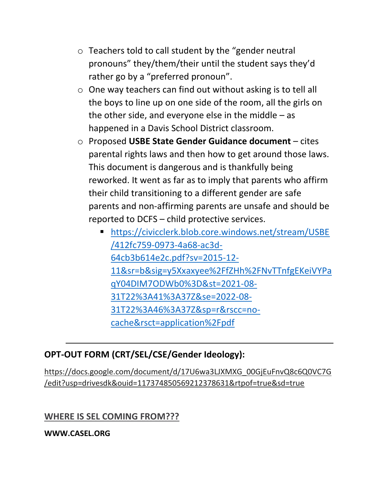- o Teachers told to call student by the "gender neutral pronouns" they/them/their until the student says they'd rather go by a "preferred pronoun".
- o One way teachers can find out without asking is to tell all the boys to line up on one side of the room, all the girls on the other side, and everyone else in the middle  $-$  as happened in a Davis School District classroom.
- o Proposed **USBE State Gender Guidance document** cites parental rights laws and then how to get around those laws. This document is dangerous and is thankfully being reworked. It went as far as to imply that parents who affirm their child transitioning to a different gender are safe parents and non-affirming parents are unsafe and should be reported to DCFS – child protective services.
	- [https://civicclerk.blob.core.windows.net/stream/USBE](https://civicclerk.blob.core.windows.net/stream/USBE/412fc759-0973-4a68-ac3d-64cb3b614e2c.pdf?sv=2015-12-11&sr=b&sig=y5Xxaxyee%2FfZHh%2FNvTTnfgEKeiVYPaqY04DIM7ODWb0%3D&st=2021-08-31T22%3A41%3A37Z&se=2022-08-31T22%3A46%3A37Z&sp=r&rscc=no-cache&rsct=application%2Fpdf) [/412fc759-0973-4a68-ac3d-](https://civicclerk.blob.core.windows.net/stream/USBE/412fc759-0973-4a68-ac3d-64cb3b614e2c.pdf?sv=2015-12-11&sr=b&sig=y5Xxaxyee%2FfZHh%2FNvTTnfgEKeiVYPaqY04DIM7ODWb0%3D&st=2021-08-31T22%3A41%3A37Z&se=2022-08-31T22%3A46%3A37Z&sp=r&rscc=no-cache&rsct=application%2Fpdf)[64cb3b614e2c.pdf?sv=2015-12-](https://civicclerk.blob.core.windows.net/stream/USBE/412fc759-0973-4a68-ac3d-64cb3b614e2c.pdf?sv=2015-12-11&sr=b&sig=y5Xxaxyee%2FfZHh%2FNvTTnfgEKeiVYPaqY04DIM7ODWb0%3D&st=2021-08-31T22%3A41%3A37Z&se=2022-08-31T22%3A46%3A37Z&sp=r&rscc=no-cache&rsct=application%2Fpdf) [11&sr=b&sig=y5Xxaxyee%2FfZHh%2FNvTTnfgEKeiVYPa](https://civicclerk.blob.core.windows.net/stream/USBE/412fc759-0973-4a68-ac3d-64cb3b614e2c.pdf?sv=2015-12-11&sr=b&sig=y5Xxaxyee%2FfZHh%2FNvTTnfgEKeiVYPaqY04DIM7ODWb0%3D&st=2021-08-31T22%3A41%3A37Z&se=2022-08-31T22%3A46%3A37Z&sp=r&rscc=no-cache&rsct=application%2Fpdf) [qY04DIM7ODWb0%3D&st=2021-08-](https://civicclerk.blob.core.windows.net/stream/USBE/412fc759-0973-4a68-ac3d-64cb3b614e2c.pdf?sv=2015-12-11&sr=b&sig=y5Xxaxyee%2FfZHh%2FNvTTnfgEKeiVYPaqY04DIM7ODWb0%3D&st=2021-08-31T22%3A41%3A37Z&se=2022-08-31T22%3A46%3A37Z&sp=r&rscc=no-cache&rsct=application%2Fpdf) [31T22%3A41%3A37Z&se=2022-08-](https://civicclerk.blob.core.windows.net/stream/USBE/412fc759-0973-4a68-ac3d-64cb3b614e2c.pdf?sv=2015-12-11&sr=b&sig=y5Xxaxyee%2FfZHh%2FNvTTnfgEKeiVYPaqY04DIM7ODWb0%3D&st=2021-08-31T22%3A41%3A37Z&se=2022-08-31T22%3A46%3A37Z&sp=r&rscc=no-cache&rsct=application%2Fpdf) [31T22%3A46%3A37Z&sp=r&rscc=no](https://civicclerk.blob.core.windows.net/stream/USBE/412fc759-0973-4a68-ac3d-64cb3b614e2c.pdf?sv=2015-12-11&sr=b&sig=y5Xxaxyee%2FfZHh%2FNvTTnfgEKeiVYPaqY04DIM7ODWb0%3D&st=2021-08-31T22%3A41%3A37Z&se=2022-08-31T22%3A46%3A37Z&sp=r&rscc=no-cache&rsct=application%2Fpdf)[cache&rsct=application%2Fpdf](https://civicclerk.blob.core.windows.net/stream/USBE/412fc759-0973-4a68-ac3d-64cb3b614e2c.pdf?sv=2015-12-11&sr=b&sig=y5Xxaxyee%2FfZHh%2FNvTTnfgEKeiVYPaqY04DIM7ODWb0%3D&st=2021-08-31T22%3A41%3A37Z&se=2022-08-31T22%3A46%3A37Z&sp=r&rscc=no-cache&rsct=application%2Fpdf)

## **OPT-OUT FORM (CRT/SEL/CSE/Gender Ideology):**

[https://docs.google.com/document/d/17U6wa3LJXMXG\\_00GjEuFnvQ8c6Q0VC7G](https://docs.google.com/document/d/17U6wa3LJXMXG_00GjEuFnvQ8c6Q0VC7G/edit?usp=drivesdk&ouid=117374850569212378631&rtpof=true&sd=true) [/edit?usp=drivesdk&ouid=117374850569212378631&rtpof=true&sd=true](https://docs.google.com/document/d/17U6wa3LJXMXG_00GjEuFnvQ8c6Q0VC7G/edit?usp=drivesdk&ouid=117374850569212378631&rtpof=true&sd=true)

#### **WHERE IS SEL COMING FROM???**

**WWW.CASEL.ORG**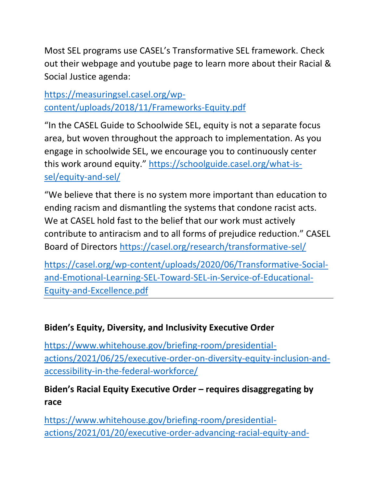Most SEL programs use CASEL's Transformative SEL framework. Check out their webpage and youtube page to learn more about their Racial & Social Justice agenda:

[https://measuringsel.casel.org/wp](https://measuringsel.casel.org/wp-content/uploads/2018/11/Frameworks-Equity.pdf)[content/uploads/2018/11/Frameworks-Equity.pdf](https://measuringsel.casel.org/wp-content/uploads/2018/11/Frameworks-Equity.pdf)

"In the CASEL Guide to Schoolwide SEL, equity is not a separate focus area, but woven throughout the approach to implementation. As you engage in schoolwide SEL, we encourage you to continuously center this work around equity." [https://schoolguide.casel.org/what-is](https://schoolguide.casel.org/what-is-sel/equity-and-sel/)[sel/equity-and-sel/](https://schoolguide.casel.org/what-is-sel/equity-and-sel/)

"We believe that there is no system more important than education to ending racism and dismantling the systems that condone racist acts. We at CASEL hold fast to the belief that our work must actively contribute to antiracism and to all forms of prejudice reduction." CASEL Board of Directors<https://casel.org/research/transformative-sel/>

[https://casel.org/wp-content/uploads/2020/06/Transformative-Social](https://casel.org/wp-content/uploads/2020/06/Transformative-Social-and-Emotional-Learning-SEL-Toward-SEL-in-Service-of-Educational-Equity-and-Excellence.pdf)[and-Emotional-Learning-SEL-Toward-SEL-in-Service-of-Educational-](https://casel.org/wp-content/uploads/2020/06/Transformative-Social-and-Emotional-Learning-SEL-Toward-SEL-in-Service-of-Educational-Equity-and-Excellence.pdf)[Equity-and-Excellence.pdf](https://casel.org/wp-content/uploads/2020/06/Transformative-Social-and-Emotional-Learning-SEL-Toward-SEL-in-Service-of-Educational-Equity-and-Excellence.pdf)

## **Biden's Equity, Diversity, and Inclusivity Executive Order**

[https://www.whitehouse.gov/briefing-room/presidential](https://www.whitehouse.gov/briefing-room/presidential-actions/2021/06/25/executive-order-on-diversity-equity-inclusion-and-accessibility-in-the-federal-workforce/)[actions/2021/06/25/executive-order-on-diversity-equity-inclusion-and](https://www.whitehouse.gov/briefing-room/presidential-actions/2021/06/25/executive-order-on-diversity-equity-inclusion-and-accessibility-in-the-federal-workforce/)[accessibility-in-the-federal-workforce/](https://www.whitehouse.gov/briefing-room/presidential-actions/2021/06/25/executive-order-on-diversity-equity-inclusion-and-accessibility-in-the-federal-workforce/)

## **Biden's Racial Equity Executive Order – requires disaggregating by race**

[https://www.whitehouse.gov/briefing-room/presidential](https://www.whitehouse.gov/briefing-room/presidential-actions/2021/01/20/executive-order-advancing-racial-equity-and-support-for-underserved-communities-through-the-federal-government/)[actions/2021/01/20/executive-order-advancing-racial-equity-and-](https://www.whitehouse.gov/briefing-room/presidential-actions/2021/01/20/executive-order-advancing-racial-equity-and-support-for-underserved-communities-through-the-federal-government/)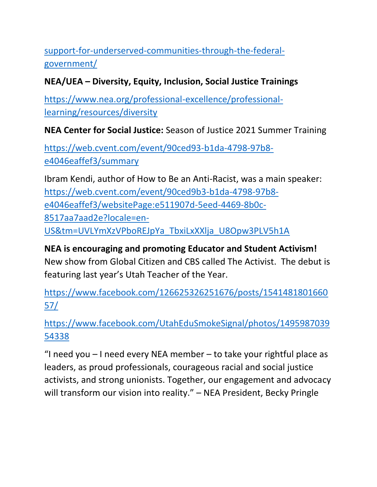[support-for-underserved-communities-through-the-federal](https://www.whitehouse.gov/briefing-room/presidential-actions/2021/01/20/executive-order-advancing-racial-equity-and-support-for-underserved-communities-through-the-federal-government/)[government/](https://www.whitehouse.gov/briefing-room/presidential-actions/2021/01/20/executive-order-advancing-racial-equity-and-support-for-underserved-communities-through-the-federal-government/)

#### **NEA/UEA – Diversity, Equity, Inclusion, Social Justice Trainings**

[https://www.nea.org/professional-excellence/professional](https://www.nea.org/professional-excellence/professional-learning/resources/diversity)[learning/resources/diversity](https://www.nea.org/professional-excellence/professional-learning/resources/diversity)

**NEA Center for Social Justice:** Season of Justice 2021 Summer Training

[https://web.cvent.com/event/90ced93-b1da-4798-97b8](https://web.cvent.com/event/90ced93-b1da-4798-97b8-e4046eaffef3/summary) [e4046eaffef3/summary](https://web.cvent.com/event/90ced93-b1da-4798-97b8-e4046eaffef3/summary)

Ibram Kendi, author of How to Be an Anti-Racist, was a main speaker: [https://web.cvent.com/event/90ced9b3-b1da-4798-97b8](https://web.cvent.com/event/90ced9b3-b1da-4798-97b8-e4046eaffef3/websitePage:e511907d-5eed-4469-8b0c-8517aa7aad2e?locale=en-US&tm=UVLYmXzVPboREJpYa_TbxiLxXXlja_U8Opw3PLV5h1A) [e4046eaffef3/websitePage:e511907d-5eed-4469-8b0c-](https://web.cvent.com/event/90ced9b3-b1da-4798-97b8-e4046eaffef3/websitePage:e511907d-5eed-4469-8b0c-8517aa7aad2e?locale=en-US&tm=UVLYmXzVPboREJpYa_TbxiLxXXlja_U8Opw3PLV5h1A)[8517aa7aad2e?locale=en-](https://web.cvent.com/event/90ced9b3-b1da-4798-97b8-e4046eaffef3/websitePage:e511907d-5eed-4469-8b0c-8517aa7aad2e?locale=en-US&tm=UVLYmXzVPboREJpYa_TbxiLxXXlja_U8Opw3PLV5h1A)[US&tm=UVLYmXzVPboREJpYa\\_TbxiLxXXlja\\_U8Opw3PLV5h1A](https://web.cvent.com/event/90ced9b3-b1da-4798-97b8-e4046eaffef3/websitePage:e511907d-5eed-4469-8b0c-8517aa7aad2e?locale=en-US&tm=UVLYmXzVPboREJpYa_TbxiLxXXlja_U8Opw3PLV5h1A)

**NEA is encouraging and promoting Educator and Student Activism!**  New show from Global Citizen and CBS called The Activist. The debut is featuring last year's Utah Teacher of the Year.

[https://www.facebook.com/126625326251676/posts/1541481801660](https://www.facebook.com/126625326251676/posts/154148180166057/) [57/](https://www.facebook.com/126625326251676/posts/154148180166057/)

[https://www.facebook.com/UtahEduSmokeSignal/photos/1495987039](https://www.facebook.com/UtahEduSmokeSignal/photos/149598703954338) [54338](https://www.facebook.com/UtahEduSmokeSignal/photos/149598703954338)

"I need you – I need every NEA member – to take your rightful place as leaders, as proud professionals, courageous racial and social justice activists, and strong unionists. Together, our engagement and advocacy will transform our vision into reality." - NEA President, Becky Pringle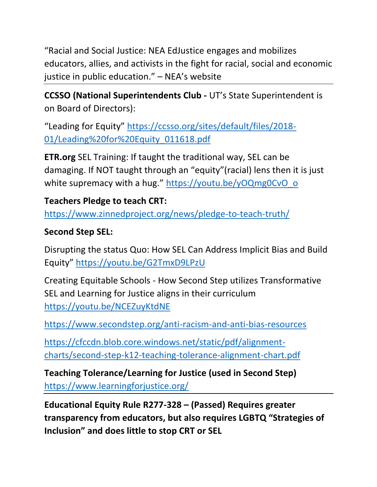"Racial and Social Justice: NEA EdJustice engages and mobilizes educators, allies, and activists in the fight for racial, social and economic justice in public education." – NEA's website

**CCSSO (National Superintendents Club -** UT's State Superintendent is on Board of Directors):

"Leading for Equity" [https://ccsso.org/sites/default/files/2018-](https://ccsso.org/sites/default/files/2018-01/Leading%20for%20Equity_011618.pdf) [01/Leading%20for%20Equity\\_011618.pdf](https://ccsso.org/sites/default/files/2018-01/Leading%20for%20Equity_011618.pdf)

**ETR.org** SEL Training: If taught the traditional way, SEL can be damaging. If NOT taught through an "equity"(racial) lens then it is just white supremacy with a hug." [https://youtu.be/yOQmg0CvO\\_o](https://youtu.be/yOQmg0CvO_o)

## **Teachers Pledge to teach CRT:**

<https://www.zinnedproject.org/news/pledge-to-teach-truth/>

#### **Second Step SEL:**

Disrupting the status Quo: How SEL Can Address Implicit Bias and Build Equity" <https://youtu.be/G2TmxD9LPzU>

Creating Equitable Schools - How Second Step utilizes Transformative SEL and Learning for Justice aligns in their curriculum <https://youtu.be/NCEZuyKtdNE>

<https://www.secondstep.org/anti-racism-and-anti-bias-resources>

[https://cfccdn.blob.core.windows.net/static/pdf/alignment](https://cfccdn.blob.core.windows.net/static/pdf/alignment-charts/second-step-k12-teaching-tolerance-alignment-chart.pdf)[charts/second-step-k12-teaching-tolerance-alignment-chart.pdf](https://cfccdn.blob.core.windows.net/static/pdf/alignment-charts/second-step-k12-teaching-tolerance-alignment-chart.pdf)

**Teaching Tolerance/Learning for Justice (used in Second Step)** <https://www.learningforjustice.org/>

**Educational Equity Rule R277-328 – (Passed) Requires greater transparency from educators, but also requires LGBTQ "Strategies of Inclusion" and does little to stop CRT or SEL**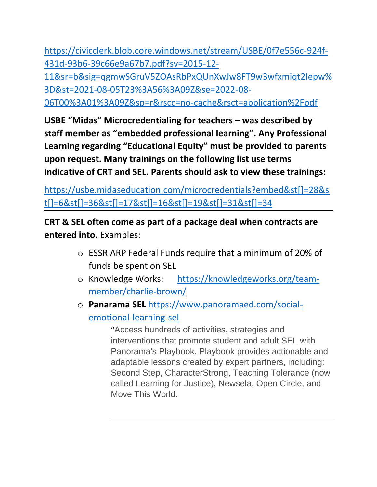[https://civicclerk.blob.core.windows.net/stream/USBE/0f7e556c-924f-](https://civicclerk.blob.core.windows.net/stream/USBE/0f7e556c-924f-431d-93b6-39c66e9a67b7.pdf?sv=2015-12-11&sr=b&sig=qgmwSGruV5ZOAsRbPxQUnXwJw8FT9w3wfxmiqt2Iepw%3D&st=2021-08-05T23%3A56%3A09Z&se=2022-08-06T00%3A01%3A09Z&sp=r&rscc=no-cache&rsct=application%2Fpdf)[431d-93b6-39c66e9a67b7.pdf?sv=2015-12-](https://civicclerk.blob.core.windows.net/stream/USBE/0f7e556c-924f-431d-93b6-39c66e9a67b7.pdf?sv=2015-12-11&sr=b&sig=qgmwSGruV5ZOAsRbPxQUnXwJw8FT9w3wfxmiqt2Iepw%3D&st=2021-08-05T23%3A56%3A09Z&se=2022-08-06T00%3A01%3A09Z&sp=r&rscc=no-cache&rsct=application%2Fpdf) [11&sr=b&sig=qgmwSGruV5ZOAsRbPxQUnXwJw8FT9w3wfxmiqt2Iepw%](https://civicclerk.blob.core.windows.net/stream/USBE/0f7e556c-924f-431d-93b6-39c66e9a67b7.pdf?sv=2015-12-11&sr=b&sig=qgmwSGruV5ZOAsRbPxQUnXwJw8FT9w3wfxmiqt2Iepw%3D&st=2021-08-05T23%3A56%3A09Z&se=2022-08-06T00%3A01%3A09Z&sp=r&rscc=no-cache&rsct=application%2Fpdf)

[3D&st=2021-08-05T23%3A56%3A09Z&se=2022-08-](https://civicclerk.blob.core.windows.net/stream/USBE/0f7e556c-924f-431d-93b6-39c66e9a67b7.pdf?sv=2015-12-11&sr=b&sig=qgmwSGruV5ZOAsRbPxQUnXwJw8FT9w3wfxmiqt2Iepw%3D&st=2021-08-05T23%3A56%3A09Z&se=2022-08-06T00%3A01%3A09Z&sp=r&rscc=no-cache&rsct=application%2Fpdf)

[06T00%3A01%3A09Z&sp=r&rscc=no-cache&rsct=application%2Fpdf](https://civicclerk.blob.core.windows.net/stream/USBE/0f7e556c-924f-431d-93b6-39c66e9a67b7.pdf?sv=2015-12-11&sr=b&sig=qgmwSGruV5ZOAsRbPxQUnXwJw8FT9w3wfxmiqt2Iepw%3D&st=2021-08-05T23%3A56%3A09Z&se=2022-08-06T00%3A01%3A09Z&sp=r&rscc=no-cache&rsct=application%2Fpdf)

**USBE "Midas" Microcredentialing for teachers – was described by staff member as "embedded professional learning". Any Professional Learning regarding "Educational Equity" must be provided to parents upon request. Many trainings on the following list use terms indicative of CRT and SEL. Parents should ask to view these trainings:**

[https://usbe.midaseducation.com/microcredentials?embed&st\[\]=28&s](https://usbe.midaseducation.com/microcredentials?embed&st%5b%5d=28&st%5b%5d=6&st%5b%5d=36&st%5b%5d=17&st%5b%5d=16&st%5b%5d=19&st%5b%5d=31&st%5b%5d=34) [t\[\]=6&st\[\]=36&st\[\]=17&st\[\]=16&st\[\]=19&st\[\]=31&st\[\]=34](https://usbe.midaseducation.com/microcredentials?embed&st%5b%5d=28&st%5b%5d=6&st%5b%5d=36&st%5b%5d=17&st%5b%5d=16&st%5b%5d=19&st%5b%5d=31&st%5b%5d=34)

**CRT & SEL often come as part of a package deal when contracts are entered into.** Examples:

- o ESSR ARP Federal Funds require that a minimum of 20% of funds be spent on SEL
- o Knowledge Works: [https://knowledgeworks.org/team](https://knowledgeworks.org/team-member/charlie-brown/)[member/charlie-brown/](https://knowledgeworks.org/team-member/charlie-brown/)
- o **Panarama SEL** [https://www.panoramaed.com/social](https://www.panoramaed.com/social-emotional-learning-sel)[emotional-learning-sel](https://www.panoramaed.com/social-emotional-learning-sel)

"Access hundreds of activities, strategies and interventions that promote student and adult SEL with Panorama's Playbook. Playbook provides actionable and adaptable lessons created by expert partners, including: Second Step, CharacterStrong, Teaching Tolerance (now called Learning for Justice), Newsela, Open Circle, and Move This World.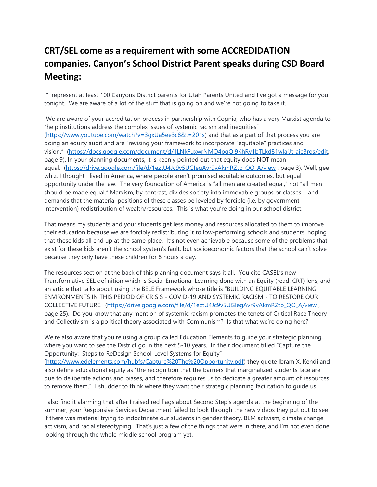## **CRT/SEL come as a requirement with some ACCREDIDATION companies. Canyon's School District Parent speaks during CSD Board Meeting:**

"I represent at least 100 Canyons District parents for Utah Parents United and I've got a message for you tonight. We are aware of a lot of the stuff that is going on and we're not going to take it.

We are aware of your accreditation process in partnership with Cognia, who has a very Marxist agenda to "help institutions address the complex issues of systemic racism and inequities" (https://www.youtube.com/watch?v=3gxUa5ee3c8&t=201s) and that as a part of that process you are doing an equity audit and are "revising your framework to incorporate "equitable" practices and vision." (https://docs.google.com/document/d/1LNkFuxwrNMO4pqQj9KhRy1bTLkd81wIajJt-aie3ros/edit, page 9). In your planning documents, it is keenly pointed out that equity does NOT mean equal. (https://drive.google.com/file/d/1eztU4Jc9v5UGIegAvr9vAkmRZtp\_QO\_A/view , page 3). Well, gee whiz, I thought I lived in America, where people aren't promised equitable outcomes, but equal opportunity under the law. The very foundation of America is "all men are created equal," not "all men should be made equal." Marxism, by contrast, divides society into immovable groups or classes – and demands that the material positions of these classes be leveled by forcible (i.e. by government intervention) redistribution of wealth/resources. This is what you're doing in our school district.

That means my students and your students get less money and resources allocated to them to improve their education because we are forcibly redistributing it to low-performing schools and students, hoping that these kids all end up at the same place. It's not even achievable because some of the problems that exist for these kids aren't the school system's fault, but socioeconomic factors that the school can't solve because they only have these children for 8 hours a day.

The resources section at the back of this planning document says it all. You cite CASEL's new Transformative SEL definition which is Social Emotional Learning done with an Equity (read: CRT) lens, and an article that talks about using the BELE Framework whose title is "BUILDING EQUITABLE LEARNING ENVIRONMENTS IN THIS PERIOD OF CRISIS - COVID-19 AND SYSTEMIC RACISM - TO RESTORE OUR COLLECTIVE FUTURE. (https://drive.google.com/file/d/1eztU4Jc9v5UGIegAvr9vAkmRZtp\_QO\_A/view , page 25). Do you know that any mention of systemic racism promotes the tenets of Critical Race Theory and Collectivism is a political theory associated with Communism? Is that what we're doing here?

We're also aware that you're using a group called Education Elements to quide your strategic planning, where you want to see the District go in the next 5-10 years. In their document titled "Capture the Opportunity: Steps to ReDesign School-Level Systems for Equity"

(https://www.edelements.com/hubfs/Capture%20The%20Opportunity.pdf) they quote Ibram X. Kendi and also define educational equity as "the recognition that the barriers that marginalized students face are due to deliberate actions and biases, and therefore requires us to dedicate a greater amount of resources to remove them." I shudder to think where they want their strategic planning facilitation to guide us.

I also find it alarming that after I raised red flags about Second Step's agenda at the beginning of the summer, your Responsive Services Department failed to look through the new videos they put out to see if there was material trying to indoctrinate our students in gender theory, BLM activism, climate change activism, and racial stereotyping. That's just a few of the things that were in there, and I'm not even done looking through the whole middle school program yet.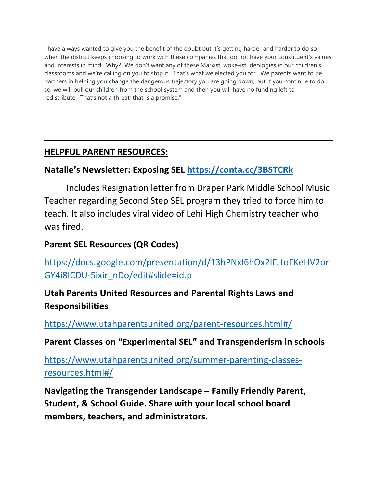I have always wanted to give you the benefit of the doubt but it's getting harder and harder to do so when the district keeps choosing to work with these companies that do not have your constituent's values and interests in mind. Why? We don't want any of these Marxist, woke-ist ideologies in our children's classrooms and we're calling on you to stop it. That's what we elected you for. We parents want to be partners in helping you change the dangerous trajectory you are going down, but if you continue to do so, we will pull our children from the school system and then you will have no funding left to redistribute. That's not a threat; that is a promise."

#### **HELPFUL PARENT RESOURCES:**

## **Natalie's Newsletter: Exposing SEL https://conta.cc/3BSTCRk**

Includes Resignation letter from Draper Park Middle School Music Teacher regarding Second Step SEL program they tried to force him to teach. It also includes viral video of Lehi High Chemistry teacher who was fired.

## **Parent SEL Resources (QR Codes)**

https://docs.google.com/presentation/d/13hPNxI6hOx2IEJtoEKeHV2or GY4i8ICDU-5ixir\_nDo/edit#slide=id.p

## **Utah Parents United Resources and Parental Rights Laws and Responsibilities**

https://www.utahparentsunited.org/parent-resources.html#/

#### **Parent Classes on "Experimental SEL" and Transgenderism in schools**

https://www.utahparentsunited.org/summer-parenting-classesresources.html#/

**Navigating the Transgender Landscape – Family Friendly Parent, Student, & School Guide. Share with your local school board members, teachers, and administrators.**